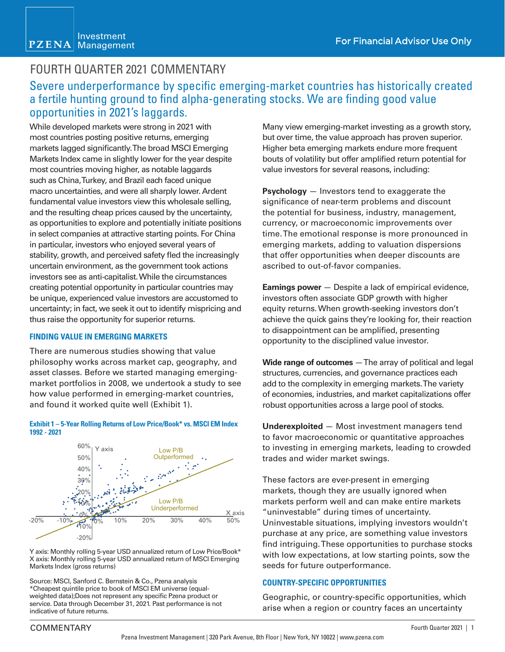## FOURTH QUARTER 2021 COMMENTARY

### Severe underperformance by specific emerging-market countries has historically created a fertile hunting ground to find alpha-generating stocks. We are finding good value opportunities in 2021's laggards.

While developed markets were strong in 2021 with most countries posting positive returns, emerging markets lagged significantly. The broad MSCI Emerging Markets Index came in slightly lower for the year despite most countries moving higher, as notable laggards such as China, Turkey, and Brazil each faced unique macro uncertainties, and were all sharply lower. Ardent fundamental value investors view this wholesale selling, and the resulting cheap prices caused by the uncertainty, as opportunities to explore and potentially initiate positions in select companies at attractive starting points. For China in particular, investors who enjoyed several years of stability, growth, and perceived safety fled the increasingly uncertain environment, as the government took actions investors see as anti-capitalist. While the circumstances creating potential opportunity in particular countries may be unique, experienced value investors are accustomed to uncertainty; in fact, we seek it out to identify mispricing and thus raise the opportunity for superior returns.

### **FINDING VALUE IN EMERGING MARKETS**

There are numerous studies showing that value philosophy works across market cap, geography, and asset classes. Before we started managing emergingmarket portfolios in 2008, we undertook a study to see how value performed in emerging-market countries, and found it worked quite well (Exhibit 1).





Y axis: Monthly rolling 5-year USD annualized return of Low Price/Book\* X axis: Monthly rolling 5-year USD annualized return of MSCI Emerging Markets Index (gross returns)

Source: MSCI, Sanford C. Bernstein & Co., Pzena analysis \*Cheapest quintile price to book of MSCI EM universe (equalweighted data);Does not represent any specific Pzena product or service. Data through December 31, 2021. Past performance is not indicative of future returns.

Many view emerging-market investing as a growth story, but over time, the value approach has proven superior. Higher beta emerging markets endure more frequent bouts of volatility but offer amplified return potential for value investors for several reasons, including:

**Psychology** — Investors tend to exaggerate the significance of near-term problems and discount the potential for business, industry, management, currency, or macroeconomic improvements over time. The emotional response is more pronounced in emerging markets, adding to valuation dispersions that offer opportunities when deeper discounts are ascribed to out-of-favor companies.

**Earnings power** – Despite a lack of empirical evidence, investors often associate GDP growth with higher equity returns. When growth-seeking investors don't achieve the quick gains they're looking for, their reaction to disappointment can be amplified, presenting opportunity to the disciplined value investor.

**Wide range of outcomes** — The array of political and legal structures, currencies, and governance practices each add to the complexity in emerging markets. The variety of economies, industries, and market capitalizations offer robust opportunities across a large pool of stocks.

**Underexploited** — Most investment managers tend to favor macroeconomic or quantitative approaches to investing in emerging markets, leading to crowded trades and wider market swings.

These factors are ever-present in emerging markets, though they are usually ignored when markets perform well and can make entire markets "uninvestable" during times of uncertainty. Uninvestable situations, implying investors wouldn't purchase at any price, are something value investors find intriguing. These opportunities to purchase stocks with low expectations, at low starting points, sow the seeds for future outperformance.

### **COUNTRY-SPECIFIC OPPORTUNITIES**

Geographic, or country-specific opportunities, which arise when a region or country faces an uncertainty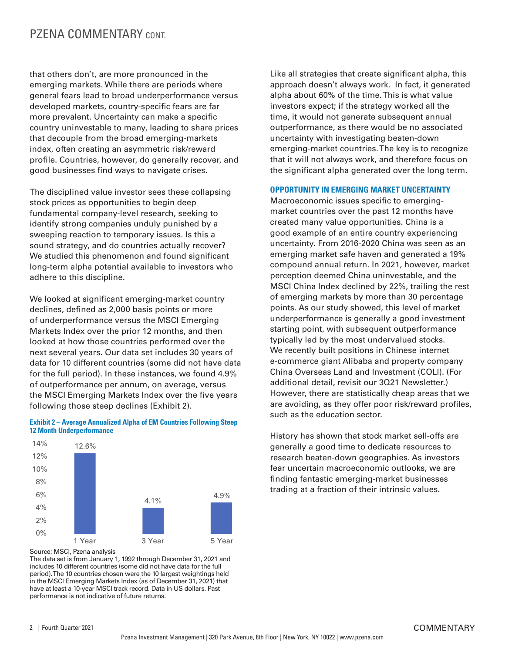### PZENA COMMENTARY CONT.

that others don't, are more pronounced in the emerging markets. While there are periods where general fears lead to broad underperformance versus developed markets, country-specific fears are far more prevalent. Uncertainty can make a specific country uninvestable to many, leading to share prices that decouple from the broad emerging-markets index, often creating an asymmetric risk/reward profile. Countries, however, do generally recover, and good businesses find ways to navigate crises.

The disciplined value investor sees these collapsing stock prices as opportunities to begin deep fundamental company-level research, seeking to identify strong companies unduly punished by a sweeping reaction to temporary issues. Is this a sound strategy, and do countries actually recover? We studied this phenomenon and found significant long-term alpha potential available to investors who adhere to this discipline.

We looked at significant emerging-market country declines, defined as 2,000 basis points or more of underperformance versus the MSCI Emerging Markets Index over the prior 12 months, and then looked at how those countries performed over the next several years. Our data set includes 30 years of data for 10 different countries (some did not have data for the full period). In these instances, we found 4.9% of outperformance per annum, on average, versus the MSCI Emerging Markets Index over the five years following those steep declines (Exhibit 2).



#### **Exhibit 2 – Average Annualized Alpha of EM Countries Following Steep 12 Month Underperformance**

Source: MSCI, Pzena analysis

 $0\%$ 

The data set is from January 1, 1992 through December 31, 2021 and includes 10 different countries (some did not have data for the full period). The 10 countries chosen were the 10 largest weightings held in the MSCI Emerging Markets Index (as of December 31, 2021) that have at least a 10-year MSCI track record. Data in US dollars. Past performance is not indicative of future returns.

1 Year 3 Year 5 Year

Like all strategies that create significant alpha, this approach doesn't always work. In fact, it generated alpha about 60% of the time. This is what value investors expect; if the strategy worked all the time, it would not generate subsequent annual outperformance, as there would be no associated uncertainty with investigating beaten-down emerging-market countries. The key is to recognize that it will not always work, and therefore focus on the significant alpha generated over the long term.

### **OPPORTUNITY IN EMERGING MARKET UNCERTAINTY**

Macroeconomic issues specific to emergingmarket countries over the past 12 months have created many value opportunities. China is a good example of an entire country experiencing uncertainty. From 2016-2020 China was seen as an emerging market safe haven and generated a 19% compound annual return. In 2021, however, market perception deemed China uninvestable, and the MSCI China Index declined by 22%, trailing the rest of emerging markets by more than 30 percentage points. As our study showed, this level of market underperformance is generally a good investment starting point, with subsequent outperformance typically led by the most undervalued stocks. We recently built positions in Chinese internet e-commerce giant Alibaba and property company China Overseas Land and Investment (COLI). (For additional detail, revisit our 3Q21 Newsletter.) However, there are statistically cheap areas that we are avoiding, as they offer poor risk/reward profiles, such as the education sector.

History has shown that stock market sell-offs are generally a good time to dedicate resources to research beaten-down geographies. As investors fear uncertain macroeconomic outlooks, we are finding fantastic emerging-market businesses trading at a fraction of their intrinsic values.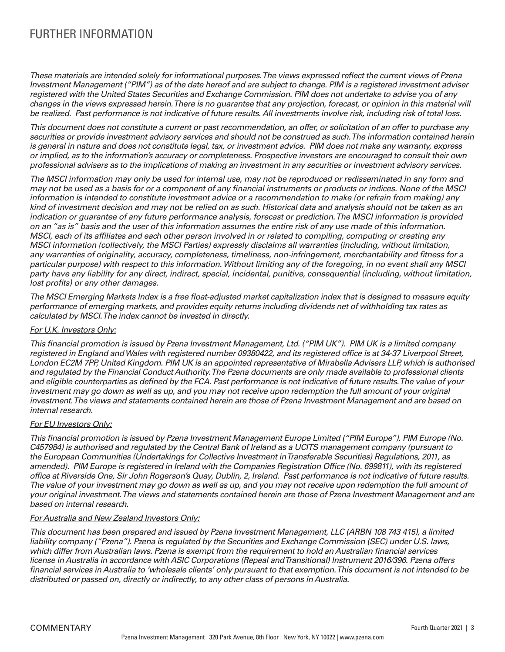# FURTHER INFORMATION

*These materials are intended solely for informational purposes. The views expressed reflect the current views of Pzena Investment Management ("PIM") as of the date hereof and are subject to change. PIM is a registered investment adviser registered with the United States Securities and Exchange Commission. PIM does not undertake to advise you of any changes in the views expressed herein. There is no guarantee that any projection, forecast, or opinion in this material will be realized. Past performance is not indicative of future results. All investments involve risk, including risk of total loss.*

*This document does not constitute a current or past recommendation, an offer, or solicitation of an offer to purchase any securities or provide investment advisory services and should not be construed as such. The information contained herein is general in nature and does not constitute legal, tax, or investment advice. PIM does not make any warranty, express or implied, as to the information's accuracy or completeness. Prospective investors are encouraged to consult their own professional advisers as to the implications of making an investment in any securities or investment advisory services.*

*The MSCI information may only be used for internal use, may not be reproduced or redisseminated in any form and may not be used as a basis for or a component of any financial instruments or products or indices. None of the MSCI information is intended to constitute investment advice or a recommendation to make (or refrain from making) any kind of investment decision and may not be relied on as such. Historical data and analysis should not be taken as an indication or guarantee of any future performance analysis, forecast or prediction. The MSCI information is provided on an "as is" basis and the user of this information assumes the entire risk of any use made of this information. MSCI, each of its affiliates and each other person involved in or related to compiling, computing or creating any MSCI information (collectively, the MSCI Parties) expressly disclaims all warranties (including, without limitation, any warranties of originality, accuracy, completeness, timeliness, non-infringement, merchantability and fitness for a particular purpose) with respect to this information. Without limiting any of the foregoing, in no event shall any MSCI party have any liability for any direct, indirect, special, incidental, punitive, consequential (including, without limitation, lost profits) or any other damages.*

*The MSCI Emerging Markets Index is a free float-adjusted market capitalization index that is designed to measure equity performance of emerging markets, and provides equity returns including dividends net of withholding tax rates as calculated by MSCI. The index cannot be invested in directly.* 

### *For U.K. Investors Only:*

*This financial promotion is issued by Pzena Investment Management, Ltd. ("PIM UK"). PIM UK is a limited company registered in England and Wales with registered number 09380422, and its registered office is at 34-37 Liverpool Street, London EC2M 7PP, United Kingdom. PIM UK is an appointed representative of Mirabella Advisers LLP, which is authorised and regulated by the Financial Conduct Authority. The Pzena documents are only made available to professional clients and eligible counterparties as defined by the FCA. Past performance is not indicative of future results. The value of your investment may go down as well as up, and you may not receive upon redemption the full amount of your original investment. The views and statements contained herein are those of Pzena Investment Management and are based on internal research.* 

### *For EU Investors Only:*

*This financial promotion is issued by Pzena Investment Management Europe Limited ("PIM Europe"). PIM Europe (No. C457984) is authorised and regulated by the Central Bank of Ireland as a UCITS management company (pursuant to the European Communities (Undertakings for Collective Investment in Transferable Securities) Regulations, 2011, as amended). PIM Europe is registered in Ireland with the Companies Registration Office (No. 699811), with its registered office at Riverside One, Sir John Rogerson's Quay, Dublin, 2, Ireland. Past performance is not indicative of future results. The value of your investment may go down as well as up, and you may not receive upon redemption the full amount of your original investment. The views and statements contained herein are those of Pzena Investment Management and are based on internal research.*

### *For Australia and New Zealand Investors Only:*

*This document has been prepared and issued by Pzena Investment Management, LLC (ARBN 108 743 415), a limited liability company ("Pzena"). Pzena is regulated by the Securities and Exchange Commission (SEC) under U.S. laws, which differ from Australian laws. Pzena is exempt from the requirement to hold an Australian financial services license in Australia in accordance with ASIC Corporations (Repeal and Transitional) Instrument 2016/396. Pzena offers financial services in Australia to 'wholesale clients' only pursuant to that exemption. This document is not intended to be distributed or passed on, directly or indirectly, to any other class of persons in Australia.*